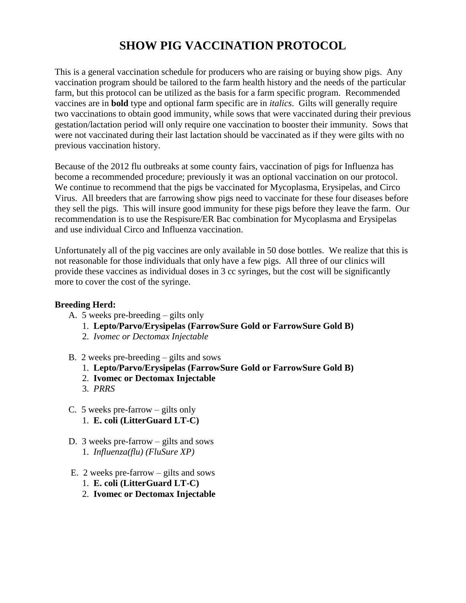## **SHOW PIG VACCINATION PROTOCOL**

This is a general vaccination schedule for producers who are raising or buying show pigs. Any vaccination program should be tailored to the farm health history and the needs of the particular farm, but this protocol can be utilized as the basis for a farm specific program. Recommended vaccines are in **bold** type and optional farm specific are in *italics*. Gilts will generally require two vaccinations to obtain good immunity, while sows that were vaccinated during their previous gestation/lactation period will only require one vaccination to booster their immunity. Sows that were not vaccinated during their last lactation should be vaccinated as if they were gilts with no previous vaccination history.

Because of the 2012 flu outbreaks at some county fairs, vaccination of pigs for Influenza has become a recommended procedure; previously it was an optional vaccination on our protocol. We continue to recommend that the pigs be vaccinated for Mycoplasma, Erysipelas, and Circo Virus. All breeders that are farrowing show pigs need to vaccinate for these four diseases before they sell the pigs. This will insure good immunity for these pigs before they leave the farm. Our recommendation is to use the Respisure/ER Bac combination for Mycoplasma and Erysipelas and use individual Circo and Influenza vaccination.

Unfortunately all of the pig vaccines are only available in 50 dose bottles. We realize that this is not reasonable for those individuals that only have a few pigs. All three of our clinics will provide these vaccines as individual doses in 3 cc syringes, but the cost will be significantly more to cover the cost of the syringe.

## **Breeding Herd:**

- A. 5 weeks pre-breeding gilts only
	- 1. **Lepto/Parvo/Erysipelas (FarrowSure Gold or FarrowSure Gold B)**
	- 2. *Ivomec or Dectomax Injectable*
- B. 2 weeks pre-breeding gilts and sows
	- 1. **Lepto/Parvo/Erysipelas (FarrowSure Gold or FarrowSure Gold B)**
	- 2. **Ivomec or Dectomax Injectable**
	- 3. *PRRS*
- C. 5 weeks pre-farrow gilts only 1. **E. coli (LitterGuard LT-C)**
- D. 3 weeks pre-farrow gilts and sows 1. *Influenza(flu) (FluSure XP)*
- E. 2 weeks pre-farrow gilts and sows
	- 1. **E. coli (LitterGuard LT-C)**
	- 2. **Ivomec or Dectomax Injectable**